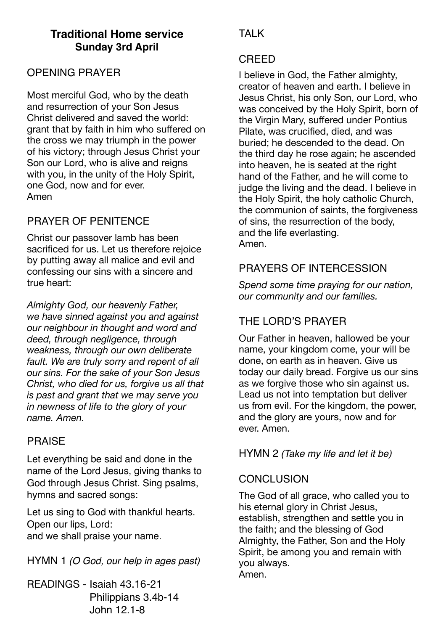# **Traditional Home service Sunday 3rd April**

## OPENING PRAYER

Most merciful God, who by the death and resurrection of your Son Jesus Christ delivered and saved the world: grant that by faith in him who suffered on the cross we may triumph in the power of his victory; through Jesus Christ your Son our Lord, who is alive and reigns with you, in the unity of the Holy Spirit, one God, now and for ever. Amen

## PRAYER OF PENITENCE

Christ our passover lamb has been sacrificed for us. Let us therefore rejoice by putting away all malice and evil and confessing our sins with a sincere and true heart:

*Almighty God, our heavenly Father, we have sinned against you and against our neighbour in thought and word and deed, through negligence, through weakness, through our own deliberate fault. We are truly sorry and repent of all our sins. For the sake of your Son Jesus Christ, who died for us, forgive us all that is past and grant that we may serve you in newness of life to the glory of your name. Amen.* 

## PRAISE

Let everything be said and done in the name of the Lord Jesus, giving thanks to God through Jesus Christ. Sing psalms, hymns and sacred songs:

Let us sing to God with thankful hearts. Open our lips, Lord: and we shall praise your name.

HYMN 1 *(O God, our help in ages past)*

READINGS - Isaiah 43.16-21 Philippians 3.4b-14 John 12.1-8

# **TAI K**

## CREED

I believe in God, the Father almighty, creator of heaven and earth. I believe in Jesus Christ, his only Son, our Lord, who was conceived by the Holy Spirit, born of the Virgin Mary, suffered under Pontius Pilate, was crucified, died, and was buried; he descended to the dead. On the third day he rose again; he ascended into heaven, he is seated at the right hand of the Father, and he will come to judge the living and the dead. I believe in the Holy Spirit, the holy catholic Church, the communion of saints, the forgiveness of sins, the resurrection of the body, and the life everlasting. Amen.

## PRAYERS OF INTERCESSION

*Spend some time praying for our nation, our community and our families.* 

# THE LORD'S PRAYER

Our Father in heaven, hallowed be your name, your kingdom come, your will be done, on earth as in heaven. Give us today our daily bread. Forgive us our sins as we forgive those who sin against us. Lead us not into temptation but deliver us from evil. For the kingdom, the power, and the glory are yours, now and for ever. Amen.

HYMN 2 *(Take my life and let it be)*

## **CONCLUSION**

The God of all grace, who called you to his eternal glory in Christ Jesus, establish, strengthen and settle you in the faith; and the blessing of God Almighty, the Father, Son and the Holy Spirit, be among you and remain with you always. Amen.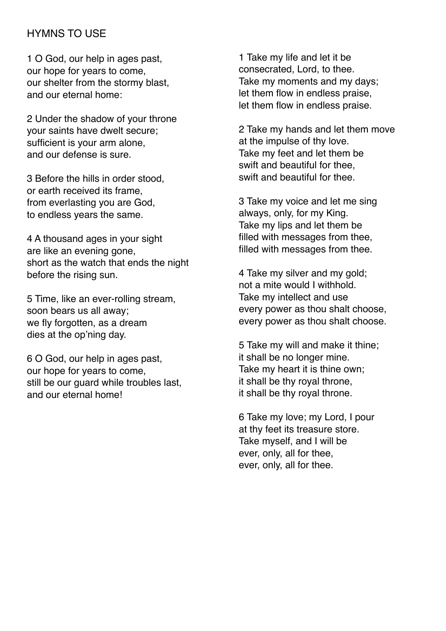### HYMNS TO USE

1 O God, our help in ages past, our hope for years to come, our shelter from the stormy blast, and our eternal home:

2 Under the shadow of your throne your saints have dwelt secure; sufficient is your arm alone, and our defense is sure.

3 Before the hills in order stood, or earth received its frame, from everlasting you are God, to endless years the same.

4 A thousand ages in your sight are like an evening gone, short as the watch that ends the night before the rising sun.

5 Time, like an ever-rolling stream, soon bears us all away; we fly forgotten, as a dream dies at the op'ning day.

6 O God, our help in ages past, our hope for years to come, still be our quard while troubles last. and our eternal home!

1 Take my life and let it be consecrated, Lord, to thee. Take my moments and my days; let them flow in endless praise, let them flow in endless praise.

2 Take my hands and let them move at the impulse of thy love. Take my feet and let them be swift and beautiful for thee, swift and beautiful for thee.

3 Take my voice and let me sing always, only, for my King. Take my lips and let them be filled with messages from thee, filled with messages from thee.

4 Take my silver and my gold; not a mite would I withhold. Take my intellect and use every power as thou shalt choose, every power as thou shalt choose.

5 Take my will and make it thine; it shall be no longer mine. Take my heart it is thine own; it shall be thy royal throne, it shall be thy royal throne.

6 Take my love; my Lord, I pour at thy feet its treasure store. Take myself, and I will be ever, only, all for thee, ever, only, all for thee.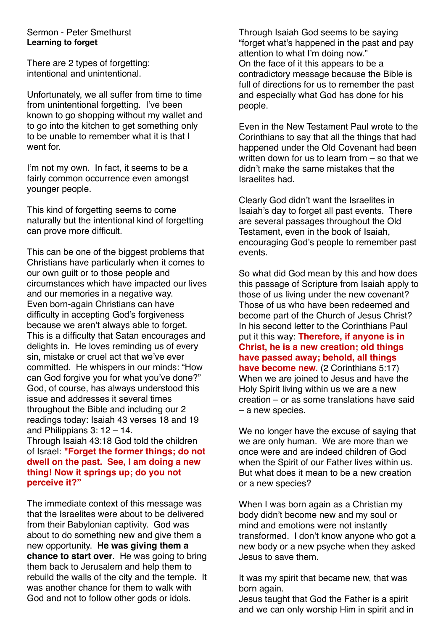### Sermon - Peter Smethurst **Learning to forget**

There are 2 types of forgetting: intentional and unintentional.

Unfortunately, we all suffer from time to time from unintentional forgetting. I've been known to go shopping without my wallet and to go into the kitchen to get something only to be unable to remember what it is that I went for.

I'm not my own. In fact, it seems to be a fairly common occurrence even amongst younger people.

This kind of forgetting seems to come naturally but the intentional kind of forgetting can prove more difficult.

This can be one of the biggest problems that Christians have particularly when it comes to our own guilt or to those people and circumstances which have impacted our lives and our memories in a negative way. Even born-again Christians can have difficulty in accepting God's forgiveness because we aren't always able to forget. This is a difficulty that Satan encourages and delights in. He loves reminding us of every sin, mistake or cruel act that we've ever committed. He whispers in our minds: "How can God forgive you for what you've done?" God, of course, has always understood this issue and addresses it several times throughout the Bible and including our 2 readings today: Isaiah 43 verses 18 and 19 and Philippians 3: 12 – 14.

Through Isaiah 43:18 God told the children of Israel: **"Forget the former things; do not dwell on the past. See, I am doing a new thing! Now it springs up; do you not perceive it?"**

The immediate context of this message was that the Israelites were about to be delivered from their Babylonian captivity. God was about to do something new and give them a new opportunity. **He was giving them a chance to start over**. He was going to bring them back to Jerusalem and help them to rebuild the walls of the city and the temple. It was another chance for them to walk with God and not to follow other gods or idols.

Through Isaiah God seems to be saying "forget what's happened in the past and pay attention to what I'm doing now." On the face of it this appears to be a contradictory message because the Bible is full of directions for us to remember the past and especially what God has done for his people.

Even in the New Testament Paul wrote to the Corinthians to say that all the things that had happened under the Old Covenant had been written down for us to learn from – so that we didn't make the same mistakes that the Israelites had.

Clearly God didn't want the Israelites in Isaiah's day to forget all past events. There are several passages throughout the Old Testament, even in the book of Isaiah, encouraging God's people to remember past events.

So what did God mean by this and how does this passage of Scripture from Isaiah apply to those of us living under the new covenant? Those of us who have been redeemed and become part of the Church of Jesus Christ? In his second letter to the Corinthians Paul put it this way: **Therefore, if anyone is in Christ, he is a new creation; old things have passed away; behold, all things have become new.** (2 Corinthians 5:17) When we are joined to Jesus and have the Holy Spirit living within us we are a new creation – or as some translations have said – a new species.

We no longer have the excuse of saying that we are only human. We are more than we once were and are indeed children of God when the Spirit of our Father lives within us. But what does it mean to be a new creation or a new species?

When I was born again as a Christian my body didn't become new and my soul or mind and emotions were not instantly transformed. I don't know anyone who got a new body or a new psyche when they asked Jesus to save them.

It was my spirit that became new, that was born again.

Jesus taught that God the Father is a spirit and we can only worship Him in spirit and in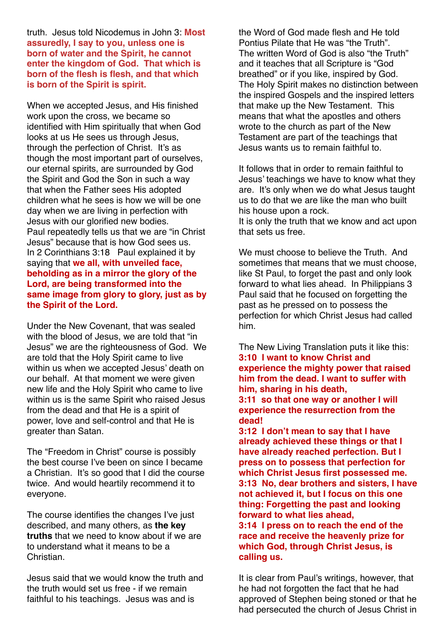truth. Jesus told Nicodemus in John 3: **Most assuredly, I say to you, unless one is born of water and the Spirit, he cannot enter the kingdom of God. That which is born of the flesh is flesh, and that which is born of the Spirit is spirit.**

When we accepted Jesus, and His finished work upon the cross, we became so identified with Him spiritually that when God looks at us He sees us through Jesus, through the perfection of Christ. It's as though the most important part of ourselves, our eternal spirits, are surrounded by God the Spirit and God the Son in such a way that when the Father sees His adopted children what he sees is how we will be one day when we are living in perfection with Jesus with our glorified new bodies. Paul repeatedly tells us that we are "in Christ Jesus" because that is how God sees us. In 2 Corinthians 3:18 Paul explained it by saying that **we all, with unveiled face, beholding as in a mirror the glory of the Lord, are being transformed into the same image from glory to glory, just as by the Spirit of the Lord.**

Under the New Covenant, that was sealed with the blood of Jesus, we are told that "in Jesus" we are the righteousness of God. We are told that the Holy Spirit came to live within us when we accepted Jesus' death on our behalf. At that moment we were given new life and the Holy Spirit who came to live within us is the same Spirit who raised Jesus from the dead and that He is a spirit of power, love and self-control and that He is greater than Satan.

The "Freedom in Christ" course is possibly the best course I've been on since I became a Christian. It's so good that I did the course twice. And would heartily recommend it to everyone.

The course identifies the changes I've just described, and many others, as **the key truths** that we need to know about if we are to understand what it means to be a Christian.

Jesus said that we would know the truth and the truth would set us free - if we remain faithful to his teachings. Jesus was and is

the Word of God made flesh and He told Pontius Pilate that He was "the Truth". The written Word of God is also "the Truth" and it teaches that all Scripture is "God breathed" or if you like, inspired by God. The Holy Spirit makes no distinction between the inspired Gospels and the inspired letters that make up the New Testament. This means that what the apostles and others wrote to the church as part of the New Testament are part of the teachings that Jesus wants us to remain faithful to.

It follows that in order to remain faithful to Jesus' teachings we have to know what they are. It's only when we do what Jesus taught us to do that we are like the man who built his house upon a rock. It is only the truth that we know and act upon that sets us free.

We must choose to believe the Truth. And sometimes that means that we must choose, like St Paul, to forget the past and only look forward to what lies ahead. In Philippians 3 Paul said that he focused on forgetting the past as he pressed on to possess the perfection for which Christ Jesus had called him.

The New Living Translation puts it like this: **3:10 I want to know Christ and experience the mighty power that raised him from the dead. I want to suffer with him, sharing in his death,**

#### **3:11 so that one way or another I will experience the resurrection from the dead!**

**3:12 I don't mean to say that I have already achieved these things or that I have already reached perfection. But I press on to possess that perfection for which Christ Jesus first possessed me. 3:13 No, dear brothers and sisters, I have not achieved it, but I focus on this one thing: Forgetting the past and looking forward to what lies ahead,**

**3:14 I press on to reach the end of the race and receive the heavenly prize for which God, through Christ Jesus, is calling us.**

It is clear from Paul's writings, however, that he had not forgotten the fact that he had approved of Stephen being stoned or that he had persecuted the church of Jesus Christ in